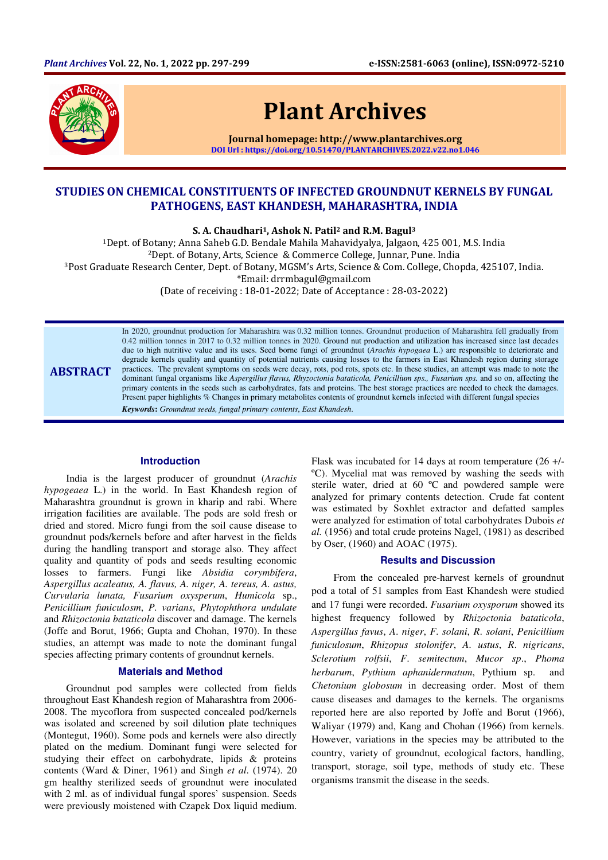

ABSTRACT

# Plant Archives

Journal homepage: http://www.plantarchives.org DOI Url : https://doi.org/10.51470/PLANTARCHIVES.2022.v22.no1.046

## STUDIES ON CHEMICAL CONSTITUENTS OF INFECTED GROUNDNUT KERNELS BY FUNGAL PATHOGENS, EAST KHANDESH, MAHARASHTRA, INDIA

S. A. Chaudhari<sup>1</sup>, Ashok N. Patil<sup>2</sup> and R.M. Bagul<sup>3</sup>

<sup>1</sup>Dept. of Botany; Anna Saheb G.D. Bendale Mahila Mahavidyalya, Jalgaon, 425 001, M.S. India <sup>2</sup>Dept. of Botany, Arts, Science & Commerce College, Junnar, Pune. India <sup>3</sup>Post Graduate Research Center, Dept. of Botany, MGSM's Arts, Science & Com. College, Chopda, 425107, India. \*Email: drrmbagul@gmail.com (Date of receiving : 18-01-2022; Date of Acceptance : 28-03-2022)

> In 2020, groundnut production for Maharashtra was 0.32 million tonnes. Groundnut production of Maharashtra fell gradually from 0.42 million tonnes in 2017 to 0.32 million tonnes in 2020. Ground nut production and utilization has increased since last decades due to high nutritive value and its uses. Seed borne fungi of groundnut (*Arachis hypogaea* L.) are responsible to deteriorate and degrade kernels quality and quantity of potential nutrients causing losses to the farmers in East Khandesh region during storage practices. The prevalent symptoms on seeds were decay, rots, pod rots, spots etc. In these studies, an attempt was made to note the dominant fungal organisms like *Aspergillus flavus, Rhyzoctonia bataticola, Penicillium sps., Fusarium sps.* and so on, affecting the primary contents in the seeds such as carbohydrates, fats and proteins. The best storage practices are needed to check the damages. Present paper highlights % Changes in primary metabolites contents of groundnut kernels infected with different fungal species

*Keywords***:** *Groundnut seeds, fungal primary contents*, *East Khandesh*.

#### **Introduction**

India is the largest producer of groundnut (*Arachis hypogeaea* L.) in the world. In East Khandesh region of Maharashtra groundnut is grown in kharip and rabi. Where irrigation facilities are available. The pods are sold fresh or dried and stored. Micro fungi from the soil cause disease to groundnut pods/kernels before and after harvest in the fields during the handling transport and storage also. They affect quality and quantity of pods and seeds resulting economic losses to farmers. Fungi like *Absidia* c*orymbifera*, *Aspergillus acaleatus, A. flavus, A. niger, A. tereus, A. astus, Curvularia lunata, Fusarium oxysperum*, *Humicola* sp., *Penicillium funiculosm*, *P. varians*, *Phytophthora undulate* and *Rhizoctonia bataticola* discover and damage. The kernels (Joffe and Borut, 1966; Gupta and Chohan, 1970). In these studies, an attempt was made to note the dominant fungal species affecting primary contents of groundnut kernels.

### **Materials and Method**

Groundnut pod samples were collected from fields throughout East Khandesh region of Maharashtra from 2006- 2008. The mycoflora from suspected concealed pod/kernels was isolated and screened by soil dilution plate techniques (Montegut, 1960). Some pods and kernels were also directly plated on the medium. Dominant fungi were selected for studying their effect on carbohydrate, lipids & proteins contents (Ward & Diner, 1961) and Singh *et al*. (1974). 20 gm healthy sterilized seeds of groundnut were inoculated with 2 ml. as of individual fungal spores' suspension. Seeds were previously moistened with Czapek Dox liquid medium.

Flask was incubated for 14 days at room temperature (26 +/- ºC). Mycelial mat was removed by washing the seeds with sterile water, dried at 60 ºC and powdered sample were analyzed for primary contents detection. Crude fat content was estimated by Soxhlet extractor and defatted samples were analyzed for estimation of total carbohydrates Dubois *et al.* (1956) and total crude proteins Nagel, (1981) as described by Oser, (1960) and AOAC (1975).

#### **Results and Discussion**

From the concealed pre-harvest kernels of groundnut pod a total of 51 samples from East Khandesh were studied and 17 fungi were recorded. *Fusarium oxysporum* showed its highest frequency followed by *Rhizoctonia bataticola*, *Aspergillus favus*, *A*. *niger*, *F*. *solani*, *R*. *solani*, *Penicillium funiculosum*, *Rhizopus stolonifer*, *A*. *ustus*, *R*. *nigricans*, *Sclerotium rolfsii*, *F*. *semitectum*, *Mucor sp*., *Phoma herbarum*, *Pythium aphanidermatum*, Pythium sp. and *Chetonium globosum* in decreasing order. Most of them cause diseases and damages to the kernels. The organisms reported here are also reported by Joffe and Borut (1966), Waliyar (1979) and, Kang and Chohan (1966) from kernels. However, variations in the species may be attributed to the country, variety of groundnut, ecological factors, handling, transport, storage, soil type, methods of study etc. These organisms transmit the disease in the seeds.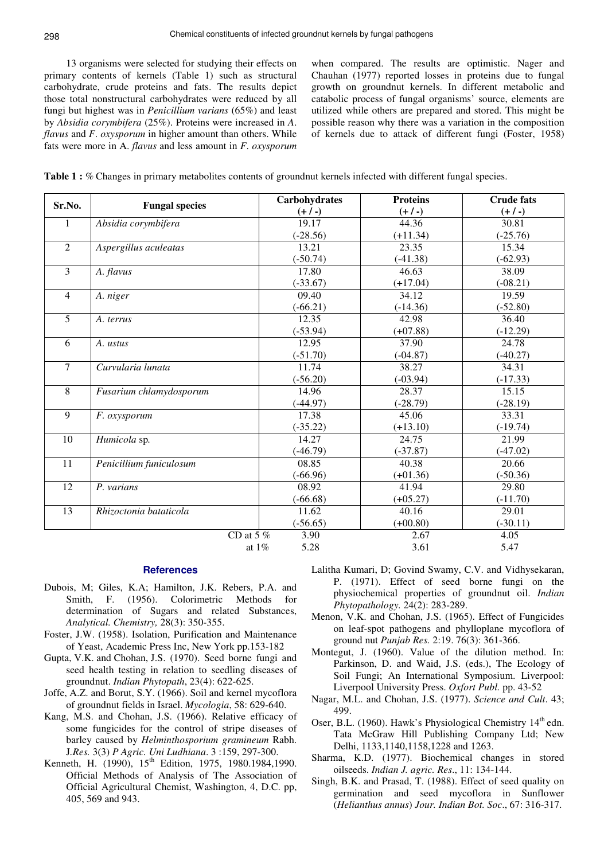13 organisms were selected for studying their effects on primary contents of kernels (Table 1) such as structural carbohydrate, crude proteins and fats. The results depict those total nonstructural carbohydrates were reduced by all fungi but highest was in *Penicillium varians* (65%) and least by *Absidia corymbifera* (25%). Proteins were increased in *A*. *flavus* and *F*. *oxysporum* in higher amount than others. While fats were more in A. *flavus* and less amount in *F*. *oxysporum* 

when compared. The results are optimistic. Nager and Chauhan (1977) reported losses in proteins due to fungal growth on groundnut kernels. In different metabolic and catabolic process of fungal organisms' source, elements are utilized while others are prepared and stored. This might be possible reason why there was a variation in the composition of kernels due to attack of different fungi (Foster, 1958)

| Sr.No.<br><b>Fungal species</b><br>$(+ / -)$<br>$(+ / -)$<br>19.17<br>44.36<br>Absidia corymbifera<br>1<br>$(-28.56)$<br>$(+11.34)$<br>$\overline{2}$<br>Aspergillus aculeatas<br>13.21<br>23.35<br>$(-50.74)$<br>$(-41.38)$ | $(+ / -)$<br>30.81<br>$(-25.76)$<br>15.34<br>$(-62.93)$<br>38.09<br>$(-08.21)$ |
|------------------------------------------------------------------------------------------------------------------------------------------------------------------------------------------------------------------------------|--------------------------------------------------------------------------------|
|                                                                                                                                                                                                                              |                                                                                |
|                                                                                                                                                                                                                              |                                                                                |
|                                                                                                                                                                                                                              |                                                                                |
|                                                                                                                                                                                                                              |                                                                                |
|                                                                                                                                                                                                                              |                                                                                |
| $\overline{\mathbf{3}}$<br>17.80<br>46.63<br>A. flavus                                                                                                                                                                       |                                                                                |
| $(-33.67)$<br>$(+17.04)$                                                                                                                                                                                                     |                                                                                |
| $\overline{4}$<br>09.40<br>19.59<br>A. niger<br>34.12                                                                                                                                                                        |                                                                                |
| $(-66.21)$<br>$(-14.36)$                                                                                                                                                                                                     | $(-52.80)$                                                                     |
| $\overline{5}$<br>12.35<br>42.98<br>A. terrus                                                                                                                                                                                | 36.40                                                                          |
| $(-53.94)$<br>$(+07.88)$                                                                                                                                                                                                     | $(-12.29)$                                                                     |
| 6<br>12.95<br>37.90<br>A. ustus                                                                                                                                                                                              | 24.78                                                                          |
| $(-51.70)$<br>$(-04.87)$                                                                                                                                                                                                     | $(-40.27)$                                                                     |
| $\overline{7}$<br>11.74<br>38.27<br>Curvularia lunata                                                                                                                                                                        | 34.31                                                                          |
| $(-56.20)$<br>$(-03.94)$                                                                                                                                                                                                     | $(-17.33)$                                                                     |
| 8<br>14.96<br>28.37<br>Fusarium chlamydosporum                                                                                                                                                                               | 15.15                                                                          |
| $(-44.97)$<br>$(-28.79)$                                                                                                                                                                                                     | $(-28.19)$                                                                     |
| 9<br>17.38<br>45.06<br>F. oxysporum                                                                                                                                                                                          | 33.31                                                                          |
| $(-35.22)$<br>$(+13.10)$                                                                                                                                                                                                     | $(-19.74)$                                                                     |
| 14.27<br>10<br>Humicola sp.<br>24.75                                                                                                                                                                                         | 21.99                                                                          |
| $(-46.79)$<br>$(-37.87)$                                                                                                                                                                                                     | $(-47.02)$                                                                     |
| 11<br>Penicillium funiculosum<br>08.85<br>40.38                                                                                                                                                                              | 20.66                                                                          |
| $(-66.96)$<br>$(+01.36)$                                                                                                                                                                                                     | $(-50.36)$                                                                     |
| 12<br>08.92<br>41.94<br>P. varians                                                                                                                                                                                           | 29.80                                                                          |
| $(-66.68)$<br>$(+05.27)$                                                                                                                                                                                                     | $(-11.70)$                                                                     |
| 13<br>11.62<br>40.16<br>Rhizoctonia bataticola                                                                                                                                                                               | 29.01                                                                          |
| $(+00.80)$<br>$(-56.65)$                                                                                                                                                                                                     | $(-30.11)$                                                                     |
| CD at 5 $%$<br>3.90<br>2.67<br>4.05                                                                                                                                                                                          |                                                                                |
| 5.28<br>3.61<br>at $1\%$<br>5.47                                                                                                                                                                                             |                                                                                |

|  | Table 1 : % Changes in primary metabolites contents of ground nut kernels infected with different fungal species. |  |  |  |
|--|-------------------------------------------------------------------------------------------------------------------|--|--|--|
|  |                                                                                                                   |  |  |  |

**References** 

- Dubois, M; Giles, K.A; Hamilton, J.K. Rebers, P.A. and Smith, F. (1956). Colorimetric Methods for determination of Sugars and related Substances, *Analytical. Chemistry,* 28(3): 350-355.
- Foster, J.W. (1958). Isolation, Purification and Maintenance of Yeast, Academic Press Inc, New York pp.153-182
- Gupta, V.K. and Chohan, J.S. (1970). Seed borne fungi and seed health testing in relation to seedling diseases of groundnut. *Indian Phytopath*, 23(4): 622-625.
- Joffe, A.Z. and Borut, S.Y. (1966). Soil and kernel mycoflora of groundnut fields in Israel. *Mycologia*, 58: 629-640.
- Kang, M.S. and Chohan, J.S. (1966). Relative efficacy of some fungicides for the control of stripe diseases of barley caused by *Helminthosporium gramineum* Rabh. J*.Res.* 3(3) *P Agric. Uni Ludhiana*. 3 :159, 297-300.
- Kenneth, H. (1990), 15<sup>th</sup> Edition, 1975, 1980.1984,1990. Official Methods of Analysis of The Association of Official Agricultural Chemist, Washington, 4, D.C. pp, 405, 569 and 943.
- Lalitha Kumari, D; Govind Swamy, C.V. and Vidhysekaran, P. (1971). Effect of seed borne fungi on the physiochemical properties of groundnut oil. *Indian Phytopathology.* 24(2): 283-289.
- Menon, V.K. and Chohan, J.S. (1965). Effect of Fungicides on leaf-spot pathogens and phylloplane mycoflora of ground nut *Punjab Res.* 2:19. 76(3): 361-366.
- Montegut, J. (1960). Value of the dilution method. In: Parkinson, D. and Waid, J.S. (eds.), The Ecology of Soil Fungi; An International Symposium. Liverpool: Liverpool University Press. *Oxfort Publ.* pp. 43-52
- Nagar, M.L. and Chohan, J.S. (1977). *Science and Cult*. 43; 499.
- Oser, B.L. (1960). Hawk's Physiological Chemistry 14<sup>th</sup> edn. Tata McGraw Hill Publishing Company Ltd; New Delhi, 1133,1140,1158,1228 and 1263.
- Sharma, K.D. (1977). Biochemical changes in stored oilseeds. *Indian J. agric. Res*., 11: 134-144.
- Singh, B.K. and Prasad, T. (1988). Effect of seed quality on germination and seed mycoflora in Sunflower (*Helianthus annus*) *Jour. Indian Bot. Soc*., 67: 316-317.